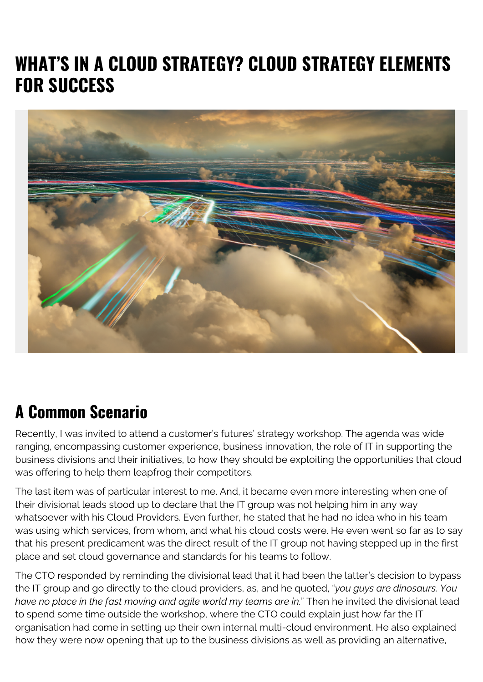## **WHAT'S IN A CLOUD STRATEGY? CLOUD STRATEGY ELEMENTS FOR SUCCESS**



## **A Common Scenario**

Recently, I was invited to attend a customer's futures' strategy workshop. The agenda was wide ranging, encompassing customer experience, business innovation, the role of IT in supporting the business divisions and their initiatives, to how they should be exploiting the opportunities that cloud was offering to help them leapfrog their competitors.

The last item was of particular interest to me. And, it became even more interesting when one of their divisional leads stood up to declare that the IT group was not helping him in any way whatsoever with his Cloud Providers. Even further, he stated that he had no idea who in his team was using which services, from whom, and what his cloud costs were. He even went so far as to say that his present predicament was the direct result of the IT group not having stepped up in the first place and set cloud governance and standards for his teams to follow.

The CTO responded by reminding the divisional lead that it had been the latter's decision to bypass the IT group and go directly to the cloud providers, as, and he quoted, "*you guys are dinosaurs. You have no place in the fast moving and agile world my teams are in.*" Then he invited the divisional lead to spend some time outside the workshop, where the CTO could explain just how far the IT organisation had come in setting up their own internal multi-cloud environment. He also explained how they were now opening that up to the business divisions as well as providing an alternative,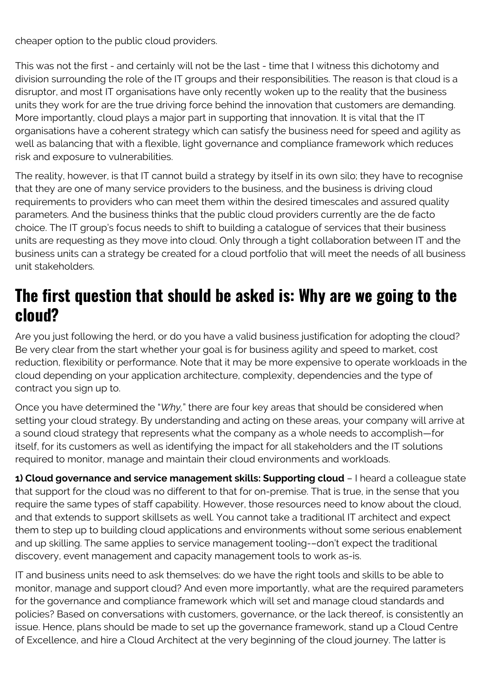cheaper option to the public cloud providers.

This was not the first - and certainly will not be the last - time that I witness this dichotomy and division surrounding the role of the IT groups and their responsibilities. The reason is that cloud is a disruptor, and most IT organisations have only recently woken up to the reality that the business units they work for are the true driving force behind the innovation that customers are demanding. More importantly, cloud plays a major part in supporting that innovation. It is vital that the IT organisations have a coherent strategy which can satisfy the business need for speed and agility as well as balancing that with a flexible, light governance and compliance framework which reduces risk and exposure to vulnerabilities.

The reality, however, is that IT cannot build a strategy by itself in its own silo; they have to recognise that they are one of many service providers to the business, and the business is driving cloud requirements to providers who can meet them within the desired timescales and assured quality parameters. And the business thinks that the public cloud providers currently are the de facto choice. The IT group's focus needs to shift to building a catalogue of services that their business units are requesting as they move into cloud. Only through a tight collaboration between IT and the business units can a strategy be created for a cloud portfolio that will meet the needs of all business unit stakeholders.

## **The first question that should be asked is: Why are we going to the cloud?**

Are you just following the herd, or do you have a valid business justification for adopting the cloud? Be very clear from the start whether your goal is for business agility and speed to market, cost reduction, flexibility or performance. Note that it may be more expensive to operate workloads in the cloud depending on your application architecture, complexity, dependencies and the type of contract you sign up to.

Once you have determined the "*Why,*" there are four key areas that should be considered when setting your cloud strategy. By understanding and acting on these areas, your company will arrive at a sound cloud strategy that represents what the company as a whole needs to accomplish—for itself, for its customers as well as identifying the impact for all stakeholders and the IT solutions required to monitor, manage and maintain their cloud environments and workloads.

**1) Cloud governance and service management skills: Supporting cloud** – I heard a colleague state that support for the cloud was no different to that for on-premise. That is true, in the sense that you require the same types of staff capability. However, those resources need to know about the cloud, and that extends to support skillsets as well. You cannot take a traditional IT architect and expect them to step up to building cloud applications and environments without some serious enablement and up skilling. The same applies to service management tooling-–don't expect the traditional discovery, event management and capacity management tools to work as-is.

IT and business units need to ask themselves: do we have the right tools and skills to be able to monitor, manage and support cloud? And even more importantly, what are the required parameters for the governance and compliance framework which will set and manage cloud standards and policies? Based on conversations with customers, governance, or the lack thereof, is consistently an issue. Hence, plans should be made to set up the governance framework, stand up a Cloud Centre of Excellence, and hire a Cloud Architect at the very beginning of the cloud journey. The latter is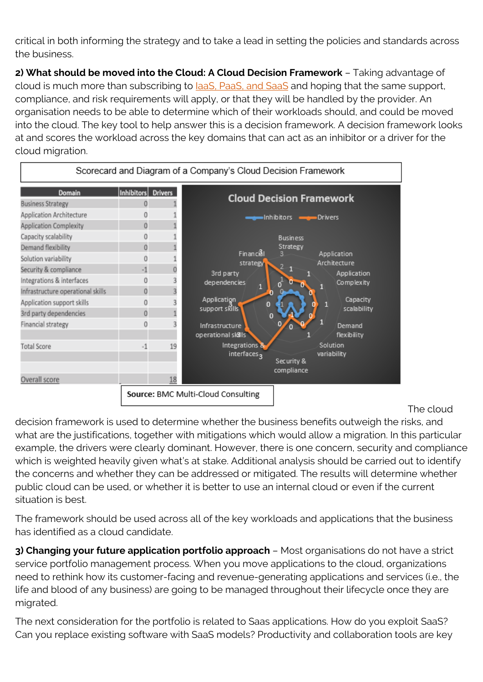critical in both informing the strategy and to take a lead in setting the policies and standards across the business.

**2) What should be moved into the Cloud: A Cloud Decision Framework** – Taking advantage of cloud is much more than subscribing to [IaaS, PaaS, and SaaS](https://blogs.bmc.com/blogs/saas-vs-paas-vs-iaas-whats-the-difference-and-how-to-choose/) and hoping that the same support, compliance, and risk requirements will apply, or that they will be handled by the provider. An organisation needs to be able to determine which of their workloads should, and could be moved into the cloud. The key tool to help answer this is a decision framework. A decision framework looks at and scores the workload across the key domains that can act as an inhibitor or a driver for the cloud migration.



The cloud

decision framework is used to determine whether the business benefits outweigh the risks, and what are the justifications, together with mitigations which would allow a migration. In this particular example, the drivers were clearly dominant. However, there is one concern, security and compliance which is weighted heavily given what's at stake. Additional analysis should be carried out to identify the concerns and whether they can be addressed or mitigated. The results will determine whether public cloud can be used, or whether it is better to use an internal cloud or even if the current situation is best.

The framework should be used across all of the key workloads and applications that the business has identified as a cloud candidate.

**3) Changing your future application portfolio approach** – Most organisations do not have a strict service portfolio management process. When you move applications to the cloud, organizations need to rethink how its customer-facing and revenue-generating applications and services (i.e., the life and blood of any business) are going to be managed throughout their lifecycle once they are migrated.

The next consideration for the portfolio is related to Saas applications. How do you exploit SaaS? Can you replace existing software with SaaS models? Productivity and collaboration tools are key